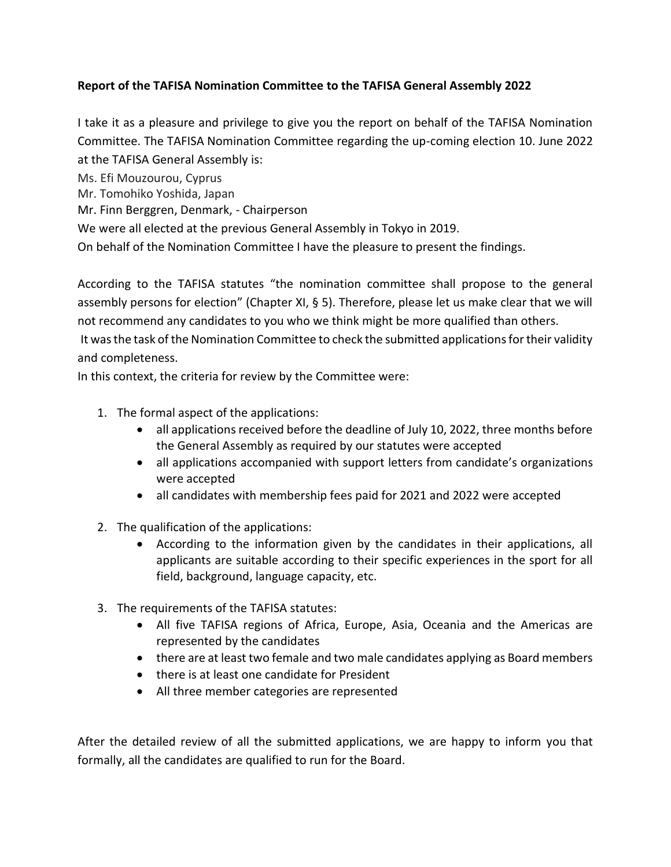## **Report of the TAFISA Nomination Committee to the TAFISA General Assembly 2022**

I take it as a pleasure and privilege to give you the report on behalf of the TAFISA Nomination Committee. The TAFISA Nomination Committee regarding the up-coming election 10. June 2022 at the TAFISA General Assembly is:

Ms. Efi Mouzourou, Cyprus

Mr. Tomohiko Yoshida, Japan

Mr. Finn Berggren, Denmark, - Chairperson

We were all elected at the previous General Assembly in Tokyo in 2019.

On behalf of the Nomination Committee I have the pleasure to present the findings.

According to the TAFISA statutes "the nomination committee shall propose to the general assembly persons for election" (Chapter XI, § 5). Therefore, please let us make clear that we will not recommend any candidates to you who we think might be more qualified than others.

It was the task of the Nomination Committee to check the submitted applications for their validity and completeness.

In this context, the criteria for review by the Committee were:

- 1. The formal aspect of the applications:
	- all applications received before the deadline of July 10, 2022, three months before the General Assembly as required by our statutes were accepted
	- all applications accompanied with support letters from candidate's organizations were accepted
	- all candidates with membership fees paid for 2021 and 2022 were accepted
- 2. The qualification of the applications:
	- According to the information given by the candidates in their applications, all applicants are suitable according to their specific experiences in the sport for all field, background, language capacity, etc.
- 3. The requirements of the TAFISA statutes:
	- All five TAFISA regions of Africa, Europe, Asia, Oceania and the Americas are represented by the candidates
	- there are at least two female and two male candidates applying as Board members
	- there is at least one candidate for President
	- All three member categories are represented

After the detailed review of all the submitted applications, we are happy to inform you that formally, all the candidates are qualified to run for the Board.